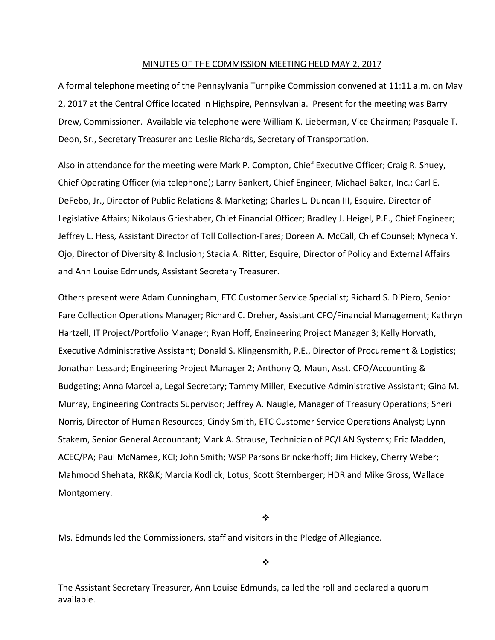#### MINUTES OF THE COMMISSION MEETING HELD MAY 2, 2017

A formal telephone meeting of the Pennsylvania Turnpike Commission convened at 11:11 a.m. on May 2, 2017 at the Central Office located in Highspire, Pennsylvania. Present for the meeting was Barry Drew, Commissioner. Available via telephone were William K. Lieberman, Vice Chairman; Pasquale T. Deon, Sr., Secretary Treasurer and Leslie Richards, Secretary of Transportation.

Also in attendance for the meeting were Mark P. Compton, Chief Executive Officer; Craig R. Shuey, Chief Operating Officer (via telephone); Larry Bankert, Chief Engineer, Michael Baker, Inc.; Carl E. DeFebo, Jr., Director of Public Relations & Marketing; Charles L. Duncan III, Esquire, Director of Legislative Affairs; Nikolaus Grieshaber, Chief Financial Officer; Bradley J. Heigel, P.E., Chief Engineer; Jeffrey L. Hess, Assistant Director of Toll Collection‐Fares; Doreen A. McCall, Chief Counsel; Myneca Y. Ojo, Director of Diversity & Inclusion; Stacia A. Ritter, Esquire, Director of Policy and External Affairs and Ann Louise Edmunds, Assistant Secretary Treasurer.

Others present were Adam Cunningham, ETC Customer Service Specialist; Richard S. DiPiero, Senior Fare Collection Operations Manager; Richard C. Dreher, Assistant CFO/Financial Management; Kathryn Hartzell, IT Project/Portfolio Manager; Ryan Hoff, Engineering Project Manager 3; Kelly Horvath, Executive Administrative Assistant; Donald S. Klingensmith, P.E., Director of Procurement & Logistics; Jonathan Lessard; Engineering Project Manager 2; Anthony Q. Maun, Asst. CFO/Accounting & Budgeting; Anna Marcella, Legal Secretary; Tammy Miller, Executive Administrative Assistant; Gina M. Murray, Engineering Contracts Supervisor; Jeffrey A. Naugle, Manager of Treasury Operations; Sheri Norris, Director of Human Resources; Cindy Smith, ETC Customer Service Operations Analyst; Lynn Stakem, Senior General Accountant; Mark A. Strause, Technician of PC/LAN Systems; Eric Madden, ACEC/PA; Paul McNamee, KCI; John Smith; WSP Parsons Brinckerhoff; Jim Hickey, Cherry Weber; Mahmood Shehata, RK&K; Marcia Kodlick; Lotus; Scott Sternberger; HDR and Mike Gross, Wallace Montgomery.

❖

Ms. Edmunds led the Commissioners, staff and visitors in the Pledge of Allegiance.

 $\ddot{\cdot}$ 

The Assistant Secretary Treasurer, Ann Louise Edmunds, called the roll and declared a quorum available.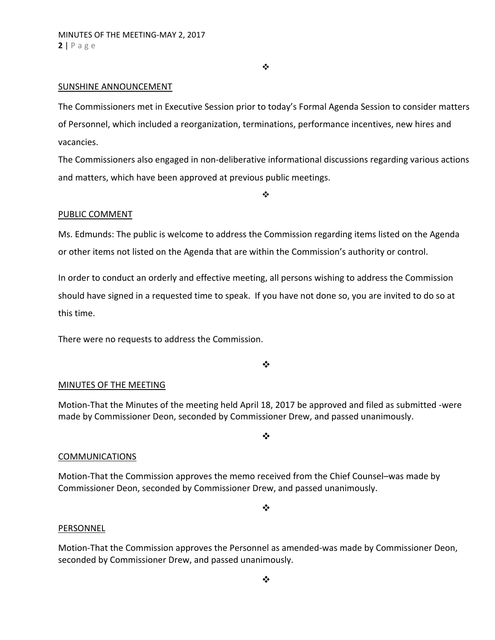❖

## SUNSHINE ANNOUNCEMENT

The Commissioners met in Executive Session prior to today's Formal Agenda Session to consider matters of Personnel, which included a reorganization, terminations, performance incentives, new hires and vacancies.

The Commissioners also engaged in non‐deliberative informational discussions regarding various actions and matters, which have been approved at previous public meetings.

❖

#### PUBLIC COMMENT

Ms. Edmunds: The public is welcome to address the Commission regarding items listed on the Agenda or other items not listed on the Agenda that are within the Commission's authority or control.

In order to conduct an orderly and effective meeting, all persons wishing to address the Commission should have signed in a requested time to speak. If you have not done so, you are invited to do so at this time.

There were no requests to address the Commission.

 $\frac{1}{2}$ 

## MINUTES OF THE MEETING

Motion‐That the Minutes of the meeting held April 18, 2017 be approved and filed as submitted ‐were made by Commissioner Deon, seconded by Commissioner Drew, and passed unanimously.

 $\cdot$ 

#### COMMUNICATIONS

Motion‐That the Commission approves the memo received from the Chief Counsel–was made by Commissioner Deon, seconded by Commissioner Drew, and passed unanimously.

❖

#### PERSONNEL

Motion‐That the Commission approves the Personnel as amended‐was made by Commissioner Deon, seconded by Commissioner Drew, and passed unanimously.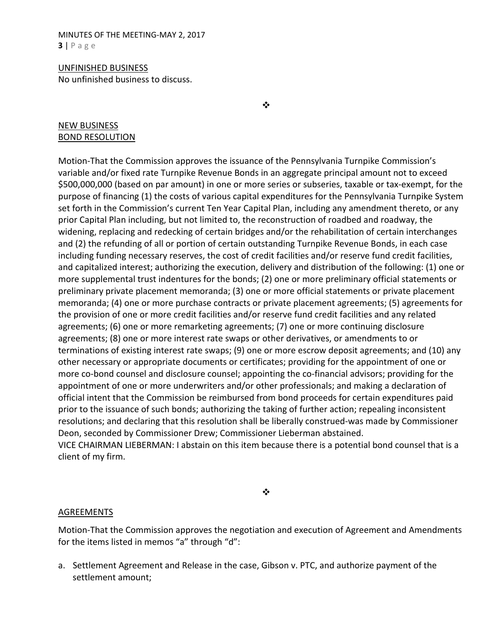MINUTES OF THE MEETING‐MAY 2, 2017 **3** | Page

UNFINISHED BUSINESS No unfinished business to discuss.

❖

# NEW BUSINESS BOND RESOLUTION

Motion-That the Commission approves the issuance of the Pennsylvania Turnpike Commission's variable and/or fixed rate Turnpike Revenue Bonds in an aggregate principal amount not to exceed \$500,000,000 (based on par amount) in one or more series or subseries, taxable or tax‐exempt, for the purpose of financing (1) the costs of various capital expenditures for the Pennsylvania Turnpike System set forth in the Commission's current Ten Year Capital Plan, including any amendment thereto, or any prior Capital Plan including, but not limited to, the reconstruction of roadbed and roadway, the widening, replacing and redecking of certain bridges and/or the rehabilitation of certain interchanges and (2) the refunding of all or portion of certain outstanding Turnpike Revenue Bonds, in each case including funding necessary reserves, the cost of credit facilities and/or reserve fund credit facilities, and capitalized interest; authorizing the execution, delivery and distribution of the following: (1) one or more supplemental trust indentures for the bonds; (2) one or more preliminary official statements or preliminary private placement memoranda; (3) one or more official statements or private placement memoranda; (4) one or more purchase contracts or private placement agreements; (5) agreements for the provision of one or more credit facilities and/or reserve fund credit facilities and any related agreements; (6) one or more remarketing agreements; (7) one or more continuing disclosure agreements; (8) one or more interest rate swaps or other derivatives, or amendments to or terminations of existing interest rate swaps; (9) one or more escrow deposit agreements; and (10) any other necessary or appropriate documents or certificates; providing for the appointment of one or more co-bond counsel and disclosure counsel; appointing the co-financial advisors; providing for the appointment of one or more underwriters and/or other professionals; and making a declaration of official intent that the Commission be reimbursed from bond proceeds for certain expenditures paid prior to the issuance of such bonds; authorizing the taking of further action; repealing inconsistent resolutions; and declaring that this resolution shall be liberally construed‐was made by Commissioner Deon, seconded by Commissioner Drew; Commissioner Lieberman abstained. VICE CHAIRMAN LIEBERMAN: I abstain on this item because there is a potential bond counsel that is a

client of my firm.

 $\bullet^{\bullet}_{\bullet} \bullet$ 

## AGREEMENTS

Motion‐That the Commission approves the negotiation and execution of Agreement and Amendments for the items listed in memos "a" through "d":

a. Settlement Agreement and Release in the case, Gibson v. PTC, and authorize payment of the settlement amount;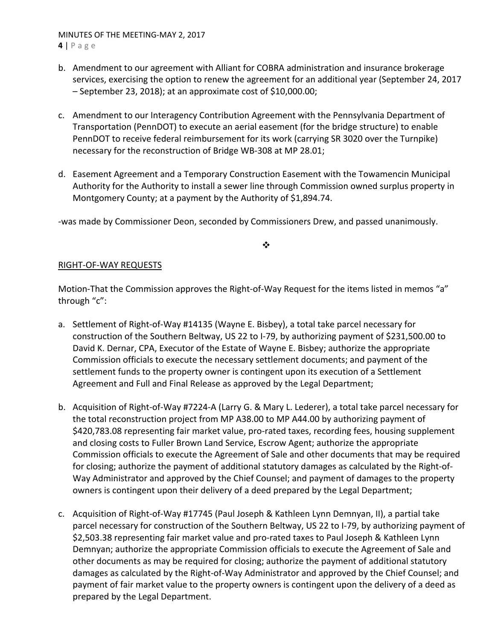# MINUTES OF THE MEETING‐MAY 2, 2017 **4** | Page

- b. Amendment to our agreement with Alliant for COBRA administration and insurance brokerage services, exercising the option to renew the agreement for an additional year (September 24, 2017 – September 23, 2018); at an approximate cost of \$10,000.00;
- c. Amendment to our Interagency Contribution Agreement with the Pennsylvania Department of Transportation (PennDOT) to execute an aerial easement (for the bridge structure) to enable PennDOT to receive federal reimbursement for its work (carrying SR 3020 over the Turnpike) necessary for the reconstruction of Bridge WB‐308 at MP 28.01;
- d. Easement Agreement and a Temporary Construction Easement with the Towamencin Municipal Authority for the Authority to install a sewer line through Commission owned surplus property in Montgomery County; at a payment by the Authority of \$1,894.74.

‐was made by Commissioner Deon, seconded by Commissioners Drew, and passed unanimously.

# ❖

# RIGHT‐OF‐WAY REQUESTS

Motion-That the Commission approves the Right-of-Way Request for the items listed in memos "a" through "c":

- a. Settlement of Right‐of‐Way #14135 (Wayne E. Bisbey), a total take parcel necessary for construction of the Southern Beltway, US 22 to I‐79, by authorizing payment of \$231,500.00 to David K. Dernar, CPA, Executor of the Estate of Wayne E. Bisbey; authorize the appropriate Commission officials to execute the necessary settlement documents; and payment of the settlement funds to the property owner is contingent upon its execution of a Settlement Agreement and Full and Final Release as approved by the Legal Department;
- b. Acquisition of Right‐of‐Way #7224‐A (Larry G. & Mary L. Lederer), a total take parcel necessary for the total reconstruction project from MP A38.00 to MP A44.00 by authorizing payment of \$420,783.08 representing fair market value, pro-rated taxes, recording fees, housing supplement and closing costs to Fuller Brown Land Service, Escrow Agent; authorize the appropriate Commission officials to execute the Agreement of Sale and other documents that may be required for closing; authorize the payment of additional statutory damages as calculated by the Right‐of‐ Way Administrator and approved by the Chief Counsel; and payment of damages to the property owners is contingent upon their delivery of a deed prepared by the Legal Department;
- c. Acquisition of Right‐of‐Way #17745 (Paul Joseph & Kathleen Lynn Demnyan, II), a partial take parcel necessary for construction of the Southern Beltway, US 22 to I‐79, by authorizing payment of \$2,503.38 representing fair market value and pro‐rated taxes to Paul Joseph & Kathleen Lynn Demnyan; authorize the appropriate Commission officials to execute the Agreement of Sale and other documents as may be required for closing; authorize the payment of additional statutory damages as calculated by the Right‐of‐Way Administrator and approved by the Chief Counsel; and payment of fair market value to the property owners is contingent upon the delivery of a deed as prepared by the Legal Department.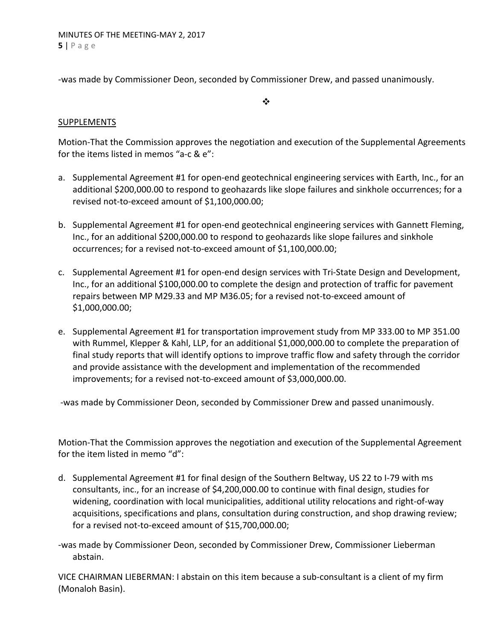‐was made by Commissioner Deon, seconded by Commissioner Drew, and passed unanimously.

## $\frac{1}{2}$

# SUPPLEMENTS

Motion‐That the Commission approves the negotiation and execution of the Supplemental Agreements for the items listed in memos "a‐c & e":

- a. Supplemental Agreement #1 for open-end geotechnical engineering services with Earth, Inc., for an additional \$200,000.00 to respond to geohazards like slope failures and sinkhole occurrences; for a revised not‐to‐exceed amount of \$1,100,000.00;
- b. Supplemental Agreement #1 for open‐end geotechnical engineering services with Gannett Fleming, Inc., for an additional \$200,000.00 to respond to geohazards like slope failures and sinkhole occurrences; for a revised not‐to‐exceed amount of \$1,100,000.00;
- c. Supplemental Agreement #1 for open‐end design services with Tri‐State Design and Development, Inc., for an additional \$100,000.00 to complete the design and protection of traffic for pavement repairs between MP M29.33 and MP M36.05; for a revised not‐to‐exceed amount of \$1,000,000.00;
- e. Supplemental Agreement #1 for transportation improvement study from MP 333.00 to MP 351.00 with Rummel, Klepper & Kahl, LLP, for an additional \$1,000,000.00 to complete the preparation of final study reports that will identify options to improve traffic flow and safety through the corridor and provide assistance with the development and implementation of the recommended improvements; for a revised not-to-exceed amount of \$3,000,000.00.

‐was made by Commissioner Deon, seconded by Commissioner Drew and passed unanimously.

Motion‐That the Commission approves the negotiation and execution of the Supplemental Agreement for the item listed in memo "d":

- d. Supplemental Agreement #1 for final design of the Southern Beltway, US 22 to I‐79 with ms consultants, inc., for an increase of \$4,200,000.00 to continue with final design, studies for widening, coordination with local municipalities, additional utility relocations and right‐of‐way acquisitions, specifications and plans, consultation during construction, and shop drawing review; for a revised not-to-exceed amount of \$15,700,000.00;
- ‐was made by Commissioner Deon, seconded by Commissioner Drew, Commissioner Lieberman abstain.

VICE CHAIRMAN LIEBERMAN: I abstain on this item because a sub‐consultant is a client of my firm (Monaloh Basin).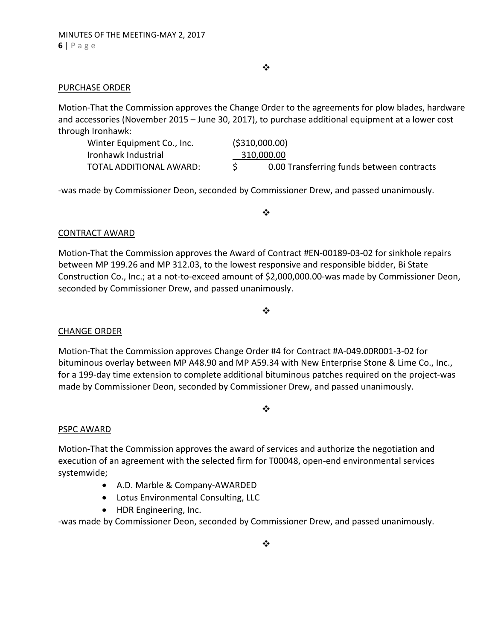$\bullet \bullet$ 

## PURCHASE ORDER

Motion‐That the Commission approves the Change Order to the agreements for plow blades, hardware and accessories (November 2015 – June 30, 2017), to purchase additional equipment at a lower cost through Ironhawk:

| Winter Equipment Co., Inc. |            | ( \$310,000.00)                           |
|----------------------------|------------|-------------------------------------------|
| Ironhawk Industrial        | 310,000.00 |                                           |
| TOTAL ADDITIONAL AWARD:    |            | 0.00 Transferring funds between contracts |

‐was made by Commissioner Deon, seconded by Commissioner Drew, and passed unanimously.

 $\frac{1}{2}$ 

# CONTRACT AWARD

Motion‐That the Commission approves the Award of Contract #EN‐00189‐03‐02 for sinkhole repairs between MP 199.26 and MP 312.03, to the lowest responsive and responsible bidder, Bi State Construction Co., Inc.; at a not‐to‐exceed amount of \$2,000,000.00‐was made by Commissioner Deon, seconded by Commissioner Drew, and passed unanimously.

❖

# CHANGE ORDER

Motion‐That the Commission approves Change Order #4 for Contract #A‐049.00R001‐3‐02 for bituminous overlay between MP A48.90 and MP A59.34 with New Enterprise Stone & Lime Co., Inc., for a 199‐day time extension to complete additional bituminous patches required on the project‐was made by Commissioner Deon, seconded by Commissioner Drew, and passed unanimously.

## $\bullet^{\bullet}_{\bullet} \bullet$

# PSPC AWARD

Motion‐That the Commission approves the award of services and authorize the negotiation and execution of an agreement with the selected firm for T00048, open‐end environmental services systemwide;

- A.D. Marble & Company-AWARDED
- Lotus Environmental Consulting, LLC
- HDR Engineering, Inc.

‐was made by Commissioner Deon, seconded by Commissioner Drew, and passed unanimously.